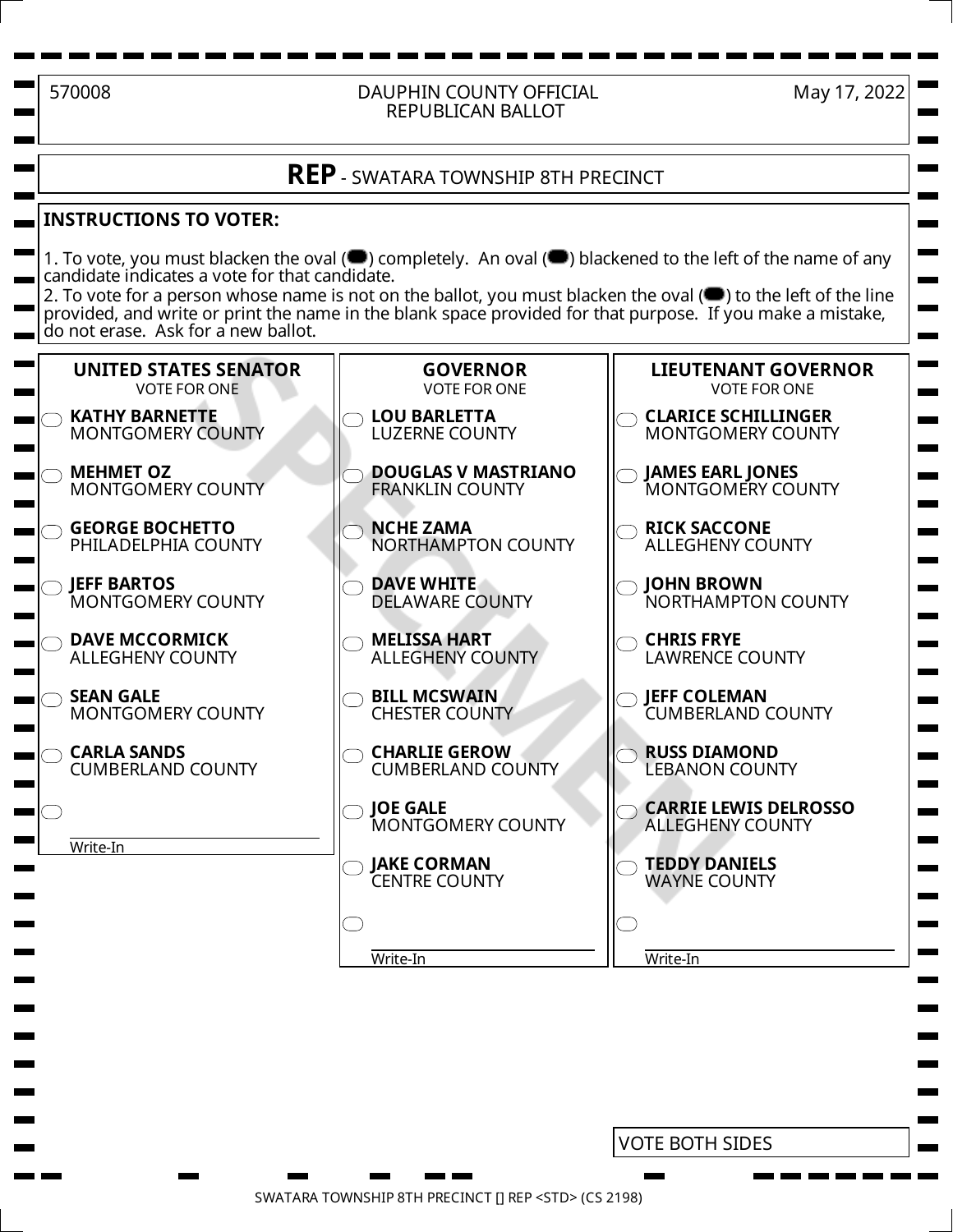## 570008 DAUPHIN COUNTY OFFICIAL REPUBLICAN BALLOT

## **REP**- SWATARA TOWNSHIP 8TH PRECINCT

## **INSTRUCTIONS TO VOTER:**

1. To vote, you must blacken the oval (**i**) completely. An oval (**ii**) blackened to the left of the name of any candidate indicates a vote for that candidate.

2. To vote for a person whose name is not on the ballot, you must blacken the oval  $(\bullet)$  to the left of the line provided, and write or print the name in the blank space provided for that purpose. If you make a mistake, do not erase. Ask for a new ballot.



VOTE BOTH SIDES